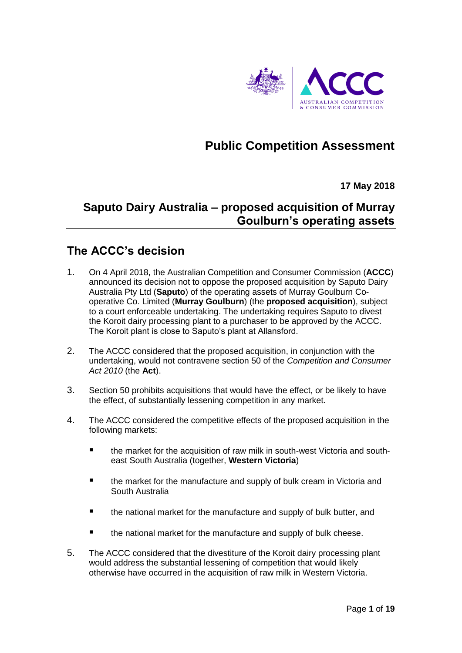

# **Public Competition Assessment**

**17 May 2018**

## **Saputo Dairy Australia – proposed acquisition of Murray Goulburn's operating assets**

### **The ACCC's decision**

- 1. On 4 April 2018, the Australian Competition and Consumer Commission (**ACCC**) announced its decision not to oppose the proposed acquisition by Saputo Dairy Australia Pty Ltd (**Saputo**) of the operating assets of Murray Goulburn Cooperative Co. Limited (**Murray Goulburn**) (the **proposed acquisition**), subject to a court enforceable undertaking. The undertaking requires Saputo to divest the Koroit dairy processing plant to a purchaser to be approved by the ACCC. The Koroit plant is close to Saputo's plant at Allansford.
- 2. The ACCC considered that the proposed acquisition, in conjunction with the undertaking, would not contravene section 50 of the *Competition and Consumer Act 2010* (the **Act**).
- 3. Section 50 prohibits acquisitions that would have the effect, or be likely to have the effect, of substantially lessening competition in any market.
- 4. The ACCC considered the competitive effects of the proposed acquisition in the following markets:
	- the market for the acquisition of raw milk in south-west Victoria and southeast South Australia (together, **Western Victoria**)
	- the market for the manufacture and supply of bulk cream in Victoria and South Australia
	- the national market for the manufacture and supply of bulk butter, and
	- the national market for the manufacture and supply of bulk cheese.
- 5. The ACCC considered that the divestiture of the Koroit dairy processing plant would address the substantial lessening of competition that would likely otherwise have occurred in the acquisition of raw milk in Western Victoria.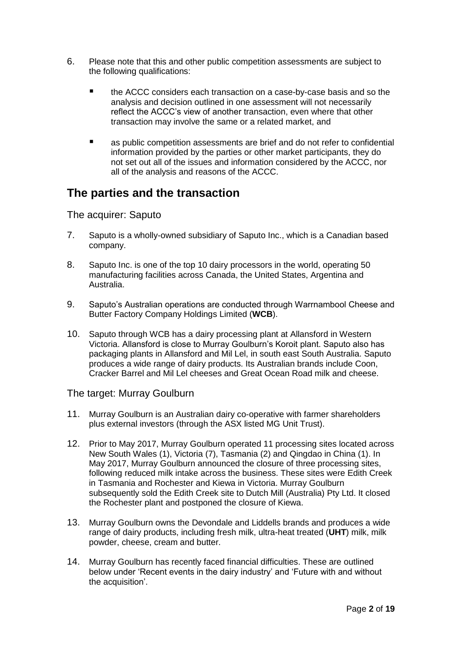- 6. Please note that this and other public competition assessments are subject to the following qualifications:
	- the ACCC considers each transaction on a case-by-case basis and so the analysis and decision outlined in one assessment will not necessarily reflect the ACCC's view of another transaction, even where that other transaction may involve the same or a related market, and
	- as public competition assessments are brief and do not refer to confidential information provided by the parties or other market participants, they do not set out all of the issues and information considered by the ACCC, nor all of the analysis and reasons of the ACCC.

### **The parties and the transaction**

The acquirer: Saputo

- 7. Saputo is a wholly-owned subsidiary of Saputo Inc., which is a Canadian based company.
- 8. Saputo Inc. is one of the top 10 dairy processors in the world, operating 50 manufacturing facilities across Canada, the United States, Argentina and Australia.
- 9. Saputo's Australian operations are conducted through Warrnambool Cheese and Butter Factory Company Holdings Limited (**WCB**).
- 10. Saputo through WCB has a dairy processing plant at Allansford in Western Victoria. Allansford is close to Murray Goulburn's Koroit plant. Saputo also has packaging plants in Allansford and Mil Lel, in south east South Australia. Saputo produces a wide range of dairy products. Its Australian brands include Coon, Cracker Barrel and Mil Lel cheeses and Great Ocean Road milk and cheese.

#### The target: Murray Goulburn

- 11. Murray Goulburn is an Australian dairy co-operative with farmer shareholders plus external investors (through the ASX listed MG Unit Trust).
- 12. Prior to May 2017, Murray Goulburn operated 11 processing sites located across New South Wales (1), Victoria (7), Tasmania (2) and Qingdao in China (1). In May 2017, Murray Goulburn announced the closure of three processing sites, following reduced milk intake across the business. These sites were Edith Creek in Tasmania and Rochester and Kiewa in Victoria. Murray Goulburn subsequently sold the Edith Creek site to Dutch Mill (Australia) Pty Ltd. It closed the Rochester plant and postponed the closure of Kiewa.
- 13. Murray Goulburn owns the Devondale and Liddells brands and produces a wide range of dairy products, including fresh milk, ultra-heat treated (**UHT**) milk, milk powder, cheese, cream and butter.
- 14. Murray Goulburn has recently faced financial difficulties. These are outlined below under 'Recent events in the dairy industry' and 'Future with and without the acquisition'.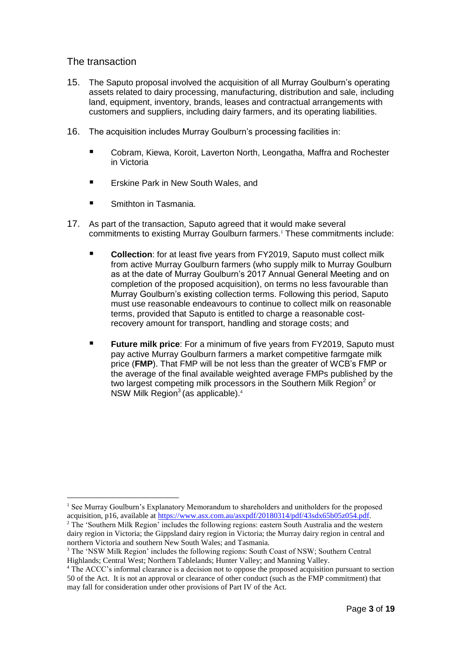#### The transaction

- 15. The Saputo proposal involved the acquisition of all Murray Goulburn's operating assets related to dairy processing, manufacturing, distribution and sale, including land, equipment, inventory, brands, leases and contractual arrangements with customers and suppliers, including dairy farmers, and its operating liabilities.
- 16. The acquisition includes Murray Goulburn's processing facilities in:
	- Cobram, Kiewa, Koroit, Laverton North, Leongatha, Maffra and Rochester in Victoria
	- **Example 25 Figure 2.5 Figure 1.5 Figure 1.5 Figure 1.5 Figure 1.5 Figure 1.5 Figure 1.5 Figure 1.5 Figure 1.5 Figure 1.5 Figure 1.5 Figure 1.5 Figure 1.5 Figure 1.5 Figure 1.5 Figure 1.5 Figure 1.5 Figure 1.5 Figure 1.5 F**
	- Smithton in Tasmania.
- 17. As part of the transaction, Saputo agreed that it would make several commitments to existing Murray Goulburn farmers.<sup>1</sup> These commitments include:
	- **Collection**: for at least five years from FY2019, Saputo must collect milk from active Murray Goulburn farmers (who supply milk to Murray Goulburn as at the date of Murray Goulburn's 2017 Annual General Meeting and on completion of the proposed acquisition), on terms no less favourable than Murray Goulburn's existing collection terms. Following this period, Saputo must use reasonable endeavours to continue to collect milk on reasonable terms, provided that Saputo is entitled to charge a reasonable costrecovery amount for transport, handling and storage costs; and
	- **Future milk price**: For a minimum of five years from FY2019, Saputo must pay active Murray Goulburn farmers a market competitive farmgate milk price (**FMP**). That FMP will be not less than the greater of WCB's FMP or the average of the final available weighted average FMPs published by the two largest competing milk processors in the Southern Milk Region<sup>2</sup> or NSW Milk Region<sup>3</sup> (as applicable).<sup>4</sup>

<sup>&</sup>lt;sup>1</sup> See Murray Goulburn's Explanatory Memorandum to shareholders and unitholders for the proposed acquisition, p16, available a[t https://www.asx.com.au/asxpdf/20180314/pdf/43sdx65b05z054.pdf.](https://www.asx.com.au/asxpdf/20180314/pdf/43sdx65b05z054.pdf)

<sup>&</sup>lt;sup>2</sup> The 'Southern Milk Region' includes the following regions: eastern South Australia and the western dairy region in Victoria; the Gippsland dairy region in Victoria; the Murray dairy region in central and northern Victoria and southern New South Wales; and Tasmania.

<sup>&</sup>lt;sup>3</sup> The 'NSW Milk Region' includes the following regions: South Coast of NSW; Southern Central Highlands; Central West; Northern Tablelands; Hunter Valley; and Manning Valley.

<sup>&</sup>lt;sup>4</sup> The ACCC's informal clearance is a decision not to oppose the proposed acquisition pursuant to section 50 of the Act. It is not an approval or clearance of other conduct (such as the FMP commitment) that may fall for consideration under other provisions of Part IV of the Act.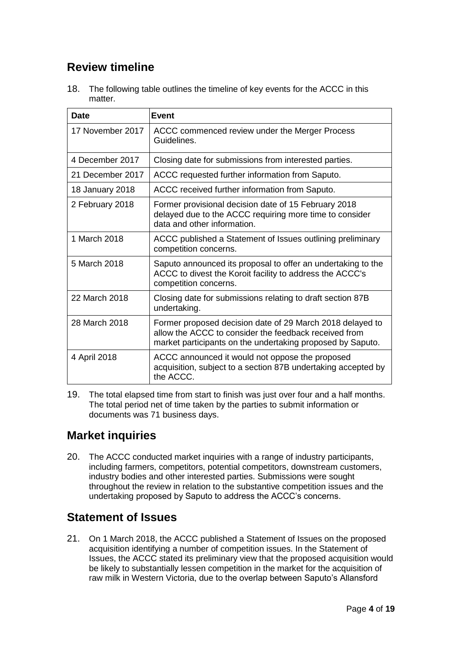## **Review timeline**

18. The following table outlines the timeline of key events for the ACCC in this matter.

| <b>Date</b>      | <b>Event</b>                                                                                                                                                                     |
|------------------|----------------------------------------------------------------------------------------------------------------------------------------------------------------------------------|
| 17 November 2017 | ACCC commenced review under the Merger Process<br>Guidelines.                                                                                                                    |
| 4 December 2017  | Closing date for submissions from interested parties.                                                                                                                            |
| 21 December 2017 | ACCC requested further information from Saputo.                                                                                                                                  |
| 18 January 2018  | ACCC received further information from Saputo.                                                                                                                                   |
| 2 February 2018  | Former provisional decision date of 15 February 2018<br>delayed due to the ACCC requiring more time to consider<br>data and other information.                                   |
| 1 March 2018     | ACCC published a Statement of Issues outlining preliminary<br>competition concerns.                                                                                              |
| 5 March 2018     | Saputo announced its proposal to offer an undertaking to the<br>ACCC to divest the Koroit facility to address the ACCC's<br>competition concerns.                                |
| 22 March 2018    | Closing date for submissions relating to draft section 87B<br>undertaking.                                                                                                       |
| 28 March 2018    | Former proposed decision date of 29 March 2018 delayed to<br>allow the ACCC to consider the feedback received from<br>market participants on the undertaking proposed by Saputo. |
| 4 April 2018     | ACCC announced it would not oppose the proposed<br>acquisition, subject to a section 87B undertaking accepted by<br>the ACCC.                                                    |

19. The total elapsed time from start to finish was just over four and a half months. The total period net of time taken by the parties to submit information or documents was 71 business days.

### **Market inquiries**

20. The ACCC conducted market inquiries with a range of industry participants, including farmers, competitors, potential competitors, downstream customers, industry bodies and other interested parties. Submissions were sought throughout the review in relation to the substantive competition issues and the undertaking proposed by Saputo to address the ACCC's concerns.

## **Statement of Issues**

21. On 1 March 2018, the ACCC published a Statement of Issues on the proposed acquisition identifying a number of competition issues. In the Statement of Issues, the ACCC stated its preliminary view that the proposed acquisition would be likely to substantially lessen competition in the market for the acquisition of raw milk in Western Victoria, due to the overlap between Saputo's Allansford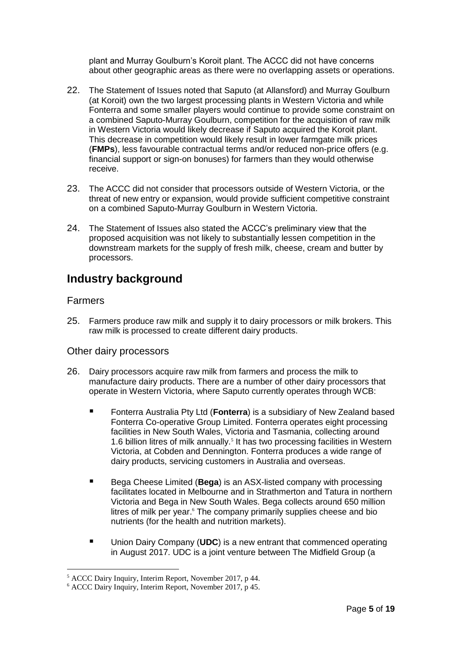plant and Murray Goulburn's Koroit plant. The ACCC did not have concerns about other geographic areas as there were no overlapping assets or operations.

- 22. The Statement of Issues noted that Saputo (at Allansford) and Murray Goulburn (at Koroit) own the two largest processing plants in Western Victoria and while Fonterra and some smaller players would continue to provide some constraint on a combined Saputo-Murray Goulburn, competition for the acquisition of raw milk in Western Victoria would likely decrease if Saputo acquired the Koroit plant. This decrease in competition would likely result in lower farmgate milk prices (**FMPs**), less favourable contractual terms and/or reduced non-price offers (e.g. financial support or sign-on bonuses) for farmers than they would otherwise receive.
- 23. The ACCC did not consider that processors outside of Western Victoria, or the threat of new entry or expansion, would provide sufficient competitive constraint on a combined Saputo-Murray Goulburn in Western Victoria.
- 24. The Statement of Issues also stated the ACCC's preliminary view that the proposed acquisition was not likely to substantially lessen competition in the downstream markets for the supply of fresh milk, cheese, cream and butter by processors.

### **Industry background**

#### Farmers

 $\overline{a}$ 

25. Farmers produce raw milk and supply it to dairy processors or milk brokers. This raw milk is processed to create different dairy products.

#### Other dairy processors

- 26. Dairy processors acquire raw milk from farmers and process the milk to manufacture dairy products. There are a number of other dairy processors that operate in Western Victoria, where Saputo currently operates through WCB:
	- Fonterra Australia Pty Ltd (**Fonterra**) is a subsidiary of New Zealand based Fonterra Co-operative Group Limited. Fonterra operates eight processing facilities in New South Wales, Victoria and Tasmania, collecting around 1.6 billion litres of milk annually. $<sup>5</sup>$  It has two processing facilities in Western</sup> Victoria, at Cobden and Dennington. Fonterra produces a wide range of dairy products, servicing customers in Australia and overseas.
	- Bega Cheese Limited (**Bega**) is an ASX-listed company with processing facilitates located in Melbourne and in Strathmerton and Tatura in northern Victoria and Bega in New South Wales. Bega collects around 650 million litres of milk per year.<sup>6</sup> The company primarily supplies cheese and bio nutrients (for the health and nutrition markets).
	- Union Dairy Company (UDC) is a new entrant that commenced operating in August 2017. UDC is a joint venture between The Midfield Group (a

<sup>5</sup> ACCC Dairy Inquiry, Interim Report, November 2017, p 44.

<sup>6</sup> ACCC Dairy Inquiry, Interim Report, November 2017, p 45.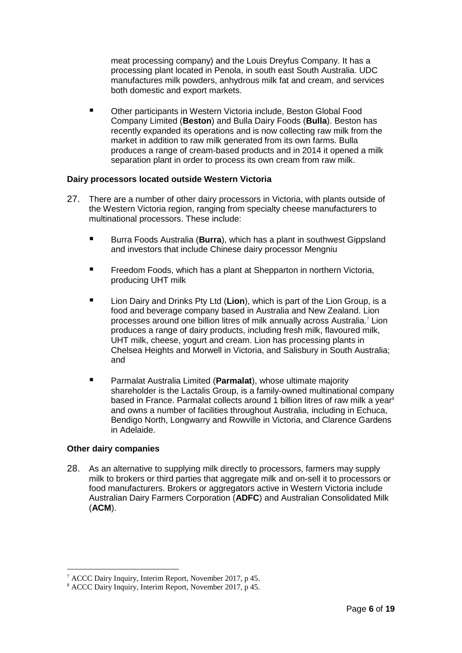meat processing company) and the Louis Dreyfus Company. It has a processing plant located in Penola, in south east South Australia. UDC manufactures milk powders, anhydrous milk fat and cream, and services both domestic and export markets.

■ Other participants in Western Victoria include, Beston Global Food Company Limited (**Beston**) and Bulla Dairy Foods (**Bulla**). Beston has recently expanded its operations and is now collecting raw milk from the market in addition to raw milk generated from its own farms. Bulla produces a range of cream-based products and in 2014 it opened a milk separation plant in order to process its own cream from raw milk.

#### **Dairy processors located outside Western Victoria**

- 27. There are a number of other dairy processors in Victoria, with plants outside of the Western Victoria region, ranging from specialty cheese manufacturers to multinational processors. These include:
	- Burra Foods Australia (**Burra**), which has a plant in southwest Gippsland and investors that include Chinese dairy processor Mengniu
	- **FIMEDE FREEDOM Foods, which has a plant at Shepparton in northern Victoria,** producing UHT milk
	- Lion Dairy and Drinks Pty Ltd (**Lion**), which is part of the Lion Group, is a food and beverage company based in Australia and New Zealand. Lion processes around one billion litres of milk annually across Australia. <sup>7</sup> Lion produces a range of dairy products, including fresh milk, flavoured milk, UHT milk, cheese, yogurt and cream. Lion has processing plants in Chelsea Heights and Morwell in Victoria, and Salisbury in South Australia; and
	- Parmalat Australia Limited (**Parmalat**), whose ultimate majority shareholder is the Lactalis Group, is a family-owned multinational company based in France. Parmalat collects around 1 billion litres of raw milk a year<sup>8</sup> and owns a number of facilities throughout Australia, including in Echuca, Bendigo North, Longwarry and Rowville in Victoria, and Clarence Gardens in Adelaide.

#### **Other dairy companies**

 $\overline{a}$ 

28. As an alternative to supplying milk directly to processors, farmers may supply milk to brokers or third parties that aggregate milk and on-sell it to processors or food manufacturers. Brokers or aggregators active in Western Victoria include Australian Dairy Farmers Corporation (**ADFC**) and Australian Consolidated Milk (**ACM**).

<sup>7</sup> ACCC Dairy Inquiry, Interim Report, November 2017, p 45.

<sup>8</sup> ACCC Dairy Inquiry, Interim Report, November 2017, p 45.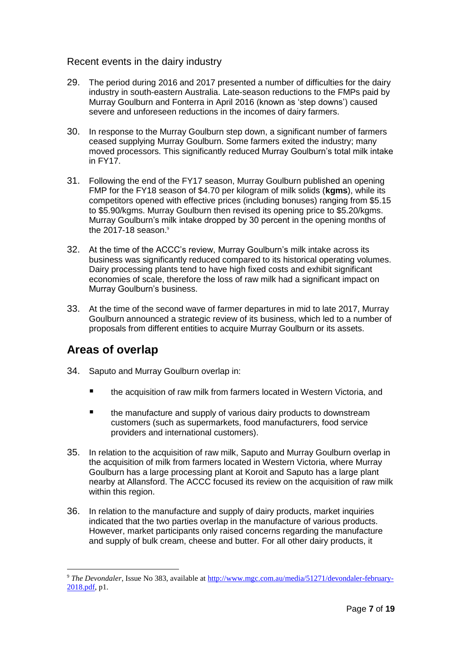#### Recent events in the dairy industry

- 29. The period during 2016 and 2017 presented a number of difficulties for the dairy industry in south-eastern Australia. Late-season reductions to the FMPs paid by Murray Goulburn and Fonterra in April 2016 (known as 'step downs') caused severe and unforeseen reductions in the incomes of dairy farmers.
- 30. In response to the Murray Goulburn step down, a significant number of farmers ceased supplying Murray Goulburn. Some farmers exited the industry; many moved processors. This significantly reduced Murray Goulburn's total milk intake in FY17.
- 31. Following the end of the FY17 season, Murray Goulburn published an opening FMP for the FY18 season of \$4.70 per kilogram of milk solids (**kgms**), while its competitors opened with effective prices (including bonuses) ranging from \$5.15 to \$5.90/kgms. Murray Goulburn then revised its opening price to \$5.20/kgms. Murray Goulburn's milk intake dropped by 30 percent in the opening months of the 2017-18 season.<sup>9</sup>
- 32. At the time of the ACCC's review, Murray Goulburn's milk intake across its business was significantly reduced compared to its historical operating volumes. Dairy processing plants tend to have high fixed costs and exhibit significant economies of scale, therefore the loss of raw milk had a significant impact on Murray Goulburn's business.
- 33. At the time of the second wave of farmer departures in mid to late 2017, Murray Goulburn announced a strategic review of its business, which led to a number of proposals from different entities to acquire Murray Goulburn or its assets.

### **Areas of overlap**

- 34. Saputo and Murray Goulburn overlap in:
	- the acquisition of raw milk from farmers located in Western Victoria, and
	- **the manufacture and supply of various dairy products to downstream** customers (such as supermarkets, food manufacturers, food service providers and international customers).
- 35. In relation to the acquisition of raw milk, Saputo and Murray Goulburn overlap in the acquisition of milk from farmers located in Western Victoria, where Murray Goulburn has a large processing plant at Koroit and Saputo has a large plant nearby at Allansford. The ACCC focused its review on the acquisition of raw milk within this region.
- 36. In relation to the manufacture and supply of dairy products, market inquiries indicated that the two parties overlap in the manufacture of various products. However, market participants only raised concerns regarding the manufacture and supply of bulk cream, cheese and butter. For all other dairy products, it

<sup>9</sup> *The Devondaler*, Issue No 383, available a[t http://www.mgc.com.au/media/51271/devondaler-february-](http://www.mgc.com.au/media/51271/devondaler-february-2018.pdf)[2018.pdf,](http://www.mgc.com.au/media/51271/devondaler-february-2018.pdf) p1.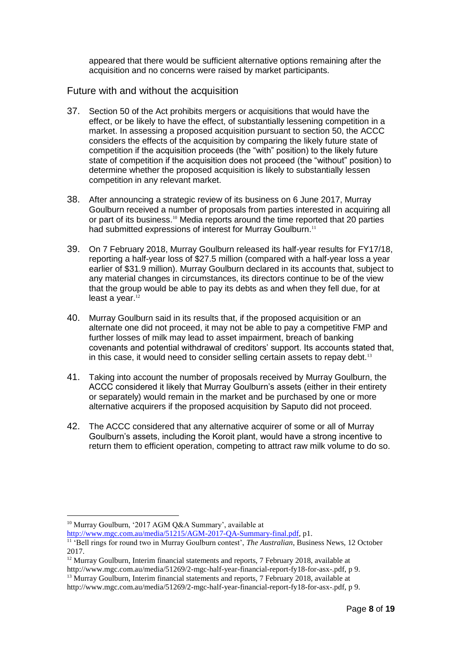appeared that there would be sufficient alternative options remaining after the acquisition and no concerns were raised by market participants.

#### Future with and without the acquisition

- 37. Section 50 of the Act prohibits mergers or acquisitions that would have the effect, or be likely to have the effect, of substantially lessening competition in a market. In assessing a proposed acquisition pursuant to section 50, the ACCC considers the effects of the acquisition by comparing the likely future state of competition if the acquisition proceeds (the "with" position) to the likely future state of competition if the acquisition does not proceed (the "without" position) to determine whether the proposed acquisition is likely to substantially lessen competition in any relevant market.
- 38. After announcing a strategic review of its business on 6 June 2017, Murray Goulburn received a number of proposals from parties interested in acquiring all or part of its business. <sup>10</sup> Media reports around the time reported that 20 parties had submitted expressions of interest for Murray Goulburn.<sup>11</sup>
- 39. On 7 February 2018, Murray Goulburn released its half-year results for FY17/18, reporting a half-year loss of \$27.5 million (compared with a half-year loss a year earlier of \$31.9 million). Murray Goulburn declared in its accounts that, subject to any material changes in circumstances, its directors continue to be of the view that the group would be able to pay its debts as and when they fell due, for at least a year.<sup>12</sup>
- 40. Murray Goulburn said in its results that, if the proposed acquisition or an alternate one did not proceed, it may not be able to pay a competitive FMP and further losses of milk may lead to asset impairment, breach of banking covenants and potential withdrawal of creditors' support. Its accounts stated that, in this case, it would need to consider selling certain assets to repay debt.<sup>13</sup>
- 41. Taking into account the number of proposals received by Murray Goulburn, the ACCC considered it likely that Murray Goulburn's assets (either in their entirety or separately) would remain in the market and be purchased by one or more alternative acquirers if the proposed acquisition by Saputo did not proceed.
- 42. The ACCC considered that any alternative acquirer of some or all of Murray Goulburn's assets, including the Koroit plant, would have a strong incentive to return them to efficient operation, competing to attract raw milk volume to do so.

 $\overline{a}$ 

[http://www.mgc.com.au/media/51215/AGM-2017-QA-Summary-final.pdf,](http://www.mgc.com.au/media/51215/AGM-2017-QA-Summary-final.pdf) p1.

<sup>&</sup>lt;sup>10</sup> Murray Goulburn, '2017 AGM O&A Summary', available at

<sup>&</sup>lt;sup>11</sup> 'Bell rings for round two in Murray Goulburn contest', *The Australian*, Business News, 12 October 2017.

<sup>&</sup>lt;sup>12</sup> Murray Goulburn, Interim financial statements and reports, 7 February 2018, available at

http://www.mgc.com.au/media/51269/2-mgc-half-year-financial-report-fy18-for-asx-.pdf, p 9. <sup>13</sup> Murray Goulburn, Interim financial statements and reports, 7 February 2018, available at

http://www.mgc.com.au/media/51269/2-mgc-half-year-financial-report-fy18-for-asx-.pdf, p 9.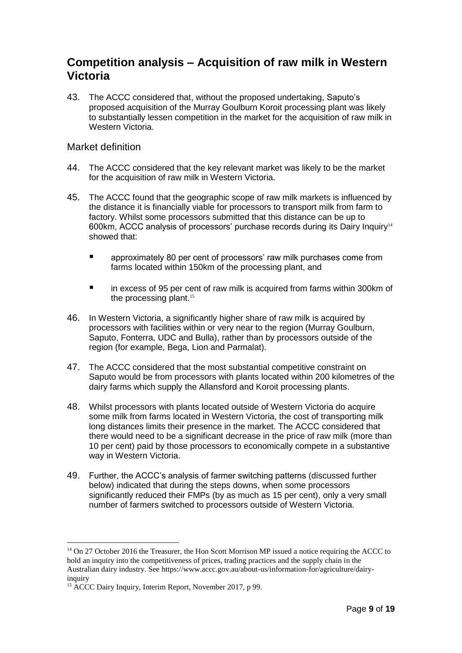### **Competition analysis – Acquisition of raw milk in Western Victoria**

43. The ACCC considered that, without the proposed undertaking, Saputo's proposed acquisition of the Murray Goulburn Koroit processing plant was likely to substantially lessen competition in the market for the acquisition of raw milk in Western Victoria.

#### Market definition

- 44. The ACCC considered that the key relevant market was likely to be the market for the acquisition of raw milk in Western Victoria.
- 45. The ACCC found that the geographic scope of raw milk markets is influenced by the distance it is financially viable for processors to transport milk from farm to factory. Whilst some processors submitted that this distance can be up to 600km, ACCC analysis of processors' purchase records during its Dairy Inquiry<sup>14</sup> showed that:
	- approximately 80 per cent of processors' raw milk purchases come from farms located within 150km of the processing plant, and
	- in excess of 95 per cent of raw milk is acquired from farms within 300km of the processing plant.<sup>15</sup>
- 46. In Western Victoria, a significantly higher share of raw milk is acquired by processors with facilities within or very near to the region (Murray Goulburn, Saputo, Fonterra, UDC and Bulla), rather than by processors outside of the region (for example, Bega, Lion and Parmalat).
- 47. The ACCC considered that the most substantial competitive constraint on Saputo would be from processors with plants located within 200 kilometres of the dairy farms which supply the Allansford and Koroit processing plants.
- 48. Whilst processors with plants located outside of Western Victoria do acquire some milk from farms located in Western Victoria, the cost of transporting milk long distances limits their presence in the market. The ACCC considered that there would need to be a significant decrease in the price of raw milk (more than 10 per cent) paid by those processors to economically compete in a substantive way in Western Victoria.
- 49. Further, the ACCC's analysis of farmer switching patterns (discussed further below) indicated that during the steps downs, when some processors significantly reduced their FMPs (by as much as 15 per cent), only a very small number of farmers switched to processors outside of Western Victoria.

<sup>&</sup>lt;sup>14</sup> On 27 October 2016 the Treasurer, the Hon Scott Morrison MP issued a notice requiring the ACCC to hold an inquiry into the competitiveness of prices, trading practices and the supply chain in the Australian dairy industry. See https://www.accc.gov.au/about-us/information-for/agriculture/dairyinquiry

<sup>&</sup>lt;sup>15</sup> ACCC Dairy Inquiry, Interim Report, November 2017, p 99.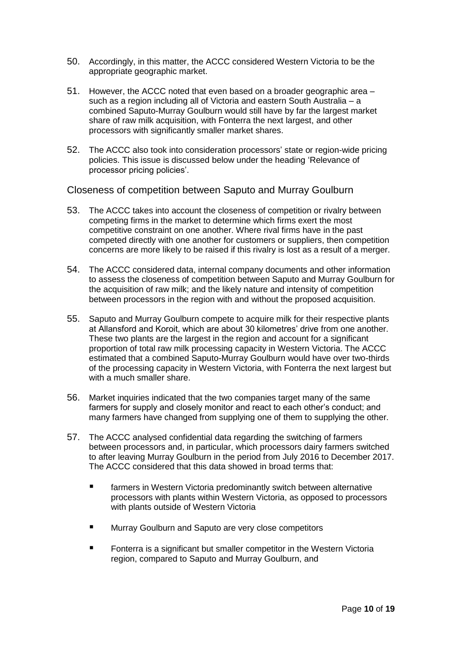- 50. Accordingly, in this matter, the ACCC considered Western Victoria to be the appropriate geographic market.
- 51. However, the ACCC noted that even based on a broader geographic area such as a region including all of Victoria and eastern South Australia – a combined Saputo-Murray Goulburn would still have by far the largest market share of raw milk acquisition, with Fonterra the next largest, and other processors with significantly smaller market shares.
- 52. The ACCC also took into consideration processors' state or region-wide pricing policies. This issue is discussed below under the heading 'Relevance of processor pricing policies'.

Closeness of competition between Saputo and Murray Goulburn

- 53. The ACCC takes into account the closeness of competition or rivalry between competing firms in the market to determine which firms exert the most competitive constraint on one another. Where rival firms have in the past competed directly with one another for customers or suppliers, then competition concerns are more likely to be raised if this rivalry is lost as a result of a merger.
- 54. The ACCC considered data, internal company documents and other information to assess the closeness of competition between Saputo and Murray Goulburn for the acquisition of raw milk; and the likely nature and intensity of competition between processors in the region with and without the proposed acquisition.
- 55. Saputo and Murray Goulburn compete to acquire milk for their respective plants at Allansford and Koroit, which are about 30 kilometres' drive from one another. These two plants are the largest in the region and account for a significant proportion of total raw milk processing capacity in Western Victoria. The ACCC estimated that a combined Saputo-Murray Goulburn would have over two-thirds of the processing capacity in Western Victoria, with Fonterra the next largest but with a much smaller share.
- 56. Market inquiries indicated that the two companies target many of the same farmers for supply and closely monitor and react to each other's conduct; and many farmers have changed from supplying one of them to supplying the other.
- 57. The ACCC analysed confidential data regarding the switching of farmers between processors and, in particular, which processors dairy farmers switched to after leaving Murray Goulburn in the period from July 2016 to December 2017. The ACCC considered that this data showed in broad terms that:
	- **F** farmers in Western Victoria predominantly switch between alternative processors with plants within Western Victoria, as opposed to processors with plants outside of Western Victoria
	- Murray Goulburn and Saputo are very close competitors
	- **FILED Fonterra is a significant but smaller competitor in the Western Victoria** region, compared to Saputo and Murray Goulburn, and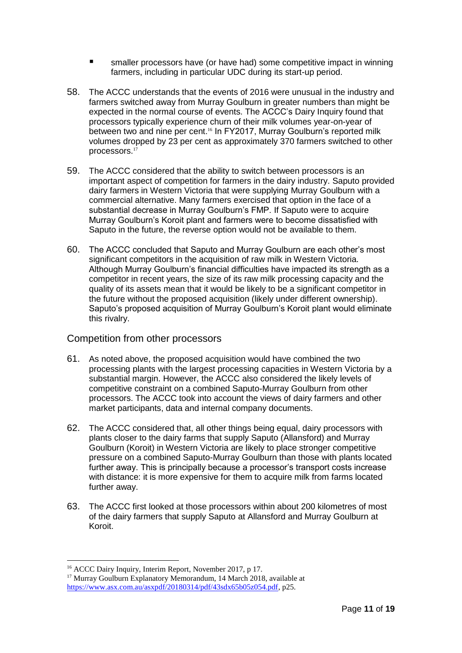- smaller processors have (or have had) some competitive impact in winning farmers, including in particular UDC during its start-up period.
- 58. The ACCC understands that the events of 2016 were unusual in the industry and farmers switched away from Murray Goulburn in greater numbers than might be expected in the normal course of events. The ACCC's Dairy Inquiry found that processors typically experience churn of their milk volumes year-on-year of between two and nine per cent. <sup>16</sup> In FY2017, Murray Goulburn's reported milk volumes dropped by 23 per cent as approximately 370 farmers switched to other processors. 17
- 59. The ACCC considered that the ability to switch between processors is an important aspect of competition for farmers in the dairy industry. Saputo provided dairy farmers in Western Victoria that were supplying Murray Goulburn with a commercial alternative. Many farmers exercised that option in the face of a substantial decrease in Murray Goulburn's FMP. If Saputo were to acquire Murray Goulburn's Koroit plant and farmers were to become dissatisfied with Saputo in the future, the reverse option would not be available to them.
- 60. The ACCC concluded that Saputo and Murray Goulburn are each other's most significant competitors in the acquisition of raw milk in Western Victoria. Although Murray Goulburn's financial difficulties have impacted its strength as a competitor in recent years, the size of its raw milk processing capacity and the quality of its assets mean that it would be likely to be a significant competitor in the future without the proposed acquisition (likely under different ownership). Saputo's proposed acquisition of Murray Goulburn's Koroit plant would eliminate this rivalry.

#### Competition from other processors

- 61. As noted above, the proposed acquisition would have combined the two processing plants with the largest processing capacities in Western Victoria by a substantial margin. However, the ACCC also considered the likely levels of competitive constraint on a combined Saputo-Murray Goulburn from other processors. The ACCC took into account the views of dairy farmers and other market participants, data and internal company documents.
- 62. The ACCC considered that, all other things being equal, dairy processors with plants closer to the dairy farms that supply Saputo (Allansford) and Murray Goulburn (Koroit) in Western Victoria are likely to place stronger competitive pressure on a combined Saputo-Murray Goulburn than those with plants located further away. This is principally because a processor's transport costs increase with distance: it is more expensive for them to acquire milk from farms located further away.
- 63. The ACCC first looked at those processors within about 200 kilometres of most of the dairy farmers that supply Saputo at Allansford and Murray Goulburn at Koroit.

<sup>&</sup>lt;sup>16</sup> ACCC Dairy Inquiry, Interim Report, November 2017, p 17.

<sup>&</sup>lt;sup>17</sup> Murray Goulburn Explanatory Memorandum, 14 March 2018, available at [https://www.asx.com.au/asxpdf/20180314/pdf/43sdx65b05z054.pdf,](https://www.asx.com.au/asxpdf/20180314/pdf/43sdx65b05z054.pdf) p25.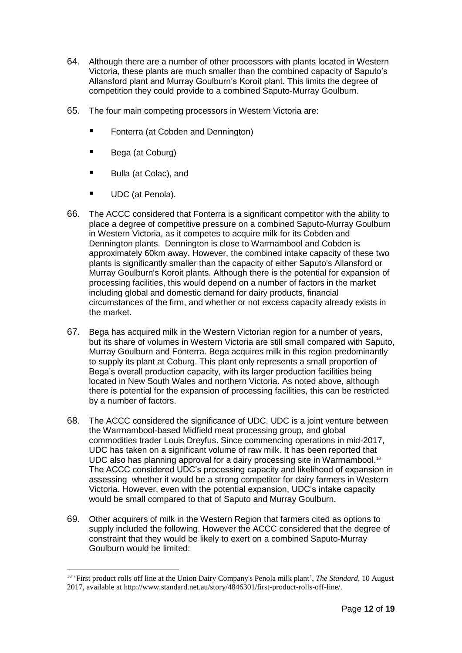- 64. Although there are a number of other processors with plants located in Western Victoria, these plants are much smaller than the combined capacity of Saputo's Allansford plant and Murray Goulburn's Koroit plant. This limits the degree of competition they could provide to a combined Saputo-Murray Goulburn.
- 65. The four main competing processors in Western Victoria are:
	- Fonterra (at Cobden and Dennington)
	- Bega (at Coburg)
	- Bulla (at Colac), and
	- UDC (at Penola).

- 66. The ACCC considered that Fonterra is a significant competitor with the ability to place a degree of competitive pressure on a combined Saputo-Murray Goulburn in Western Victoria, as it competes to acquire milk for its Cobden and Dennington plants. Dennington is close to Warrnambool and Cobden is approximately 60km away. However, the combined intake capacity of these two plants is significantly smaller than the capacity of either Saputo's Allansford or Murray Goulburn's Koroit plants. Although there is the potential for expansion of processing facilities, this would depend on a number of factors in the market including global and domestic demand for dairy products, financial circumstances of the firm, and whether or not excess capacity already exists in the market.
- 67. Bega has acquired milk in the Western Victorian region for a number of years, but its share of volumes in Western Victoria are still small compared with Saputo, Murray Goulburn and Fonterra. Bega acquires milk in this region predominantly to supply its plant at Coburg. This plant only represents a small proportion of Bega's overall production capacity, with its larger production facilities being located in New South Wales and northern Victoria. As noted above, although there is potential for the expansion of processing facilities, this can be restricted by a number of factors.
- 68. The ACCC considered the significance of UDC. UDC is a joint venture between the Warrnambool-based Midfield meat processing group, and global commodities trader Louis Dreyfus. Since commencing operations in mid-2017, UDC has taken on a significant volume of raw milk. It has been reported that UDC also has planning approval for a dairy processing site in Warrnambool.<sup>18</sup> The ACCC considered UDC's processing capacity and likelihood of expansion in assessing whether it would be a strong competitor for dairy farmers in Western Victoria. However, even with the potential expansion, UDC's intake capacity would be small compared to that of Saputo and Murray Goulburn.
- 69. Other acquirers of milk in the Western Region that farmers cited as options to supply included the following. However the ACCC considered that the degree of constraint that they would be likely to exert on a combined Saputo-Murray Goulburn would be limited:

<sup>&</sup>lt;sup>18</sup> 'First product rolls off line at the Union Dairy Company's Penola milk plant', *The Standard*, 10 August 2017, available at http://www.standard.net.au/story/4846301/first-product-rolls-off-line/.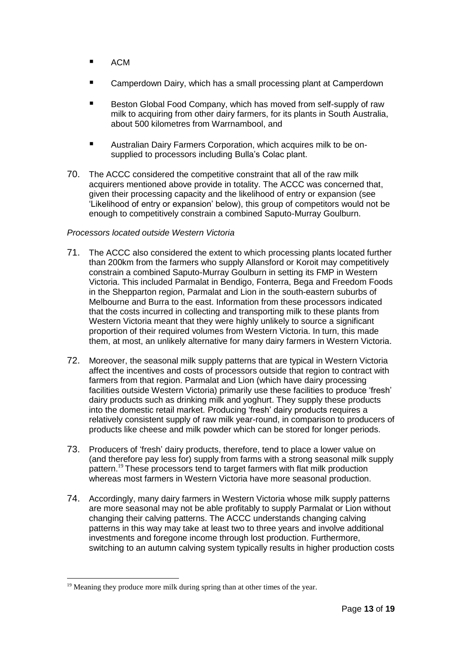- ACM
- Camperdown Dairy, which has a small processing plant at Camperdown
- Beston Global Food Company, which has moved from self-supply of raw milk to acquiring from other dairy farmers, for its plants in South Australia, about 500 kilometres from Warrnambool, and
- Australian Dairy Farmers Corporation, which acquires milk to be onsupplied to processors including Bulla's Colac plant.
- 70. The ACCC considered the competitive constraint that all of the raw milk acquirers mentioned above provide in totality. The ACCC was concerned that, given their processing capacity and the likelihood of entry or expansion (see 'Likelihood of entry or expansion' below), this group of competitors would not be enough to competitively constrain a combined Saputo-Murray Goulburn.

#### *Processors located outside Western Victoria*

- 71. The ACCC also considered the extent to which processing plants located further than 200km from the farmers who supply Allansford or Koroit may competitively constrain a combined Saputo-Murray Goulburn in setting its FMP in Western Victoria. This included Parmalat in Bendigo, Fonterra, Bega and Freedom Foods in the Shepparton region, Parmalat and Lion in the south-eastern suburbs of Melbourne and Burra to the east. Information from these processors indicated that the costs incurred in collecting and transporting milk to these plants from Western Victoria meant that they were highly unlikely to source a significant proportion of their required volumes from Western Victoria. In turn, this made them, at most, an unlikely alternative for many dairy farmers in Western Victoria.
- 72. Moreover, the seasonal milk supply patterns that are typical in Western Victoria affect the incentives and costs of processors outside that region to contract with farmers from that region. Parmalat and Lion (which have dairy processing facilities outside Western Victoria) primarily use these facilities to produce 'fresh' dairy products such as drinking milk and yoghurt. They supply these products into the domestic retail market. Producing 'fresh' dairy products requires a relatively consistent supply of raw milk year-round, in comparison to producers of products like cheese and milk powder which can be stored for longer periods.
- 73. Producers of 'fresh' dairy products, therefore, tend to place a lower value on (and therefore pay less for) supply from farms with a strong seasonal milk supply pattern.<sup>19</sup> These processors tend to target farmers with flat milk production whereas most farmers in Western Victoria have more seasonal production.
- 74. Accordingly, many dairy farmers in Western Victoria whose milk supply patterns are more seasonal may not be able profitably to supply Parmalat or Lion without changing their calving patterns. The ACCC understands changing calving patterns in this way may take at least two to three years and involve additional investments and foregone income through lost production. Furthermore, switching to an autumn calving system typically results in higher production costs

 $\overline{a}$  $19$  Meaning they produce more milk during spring than at other times of the year.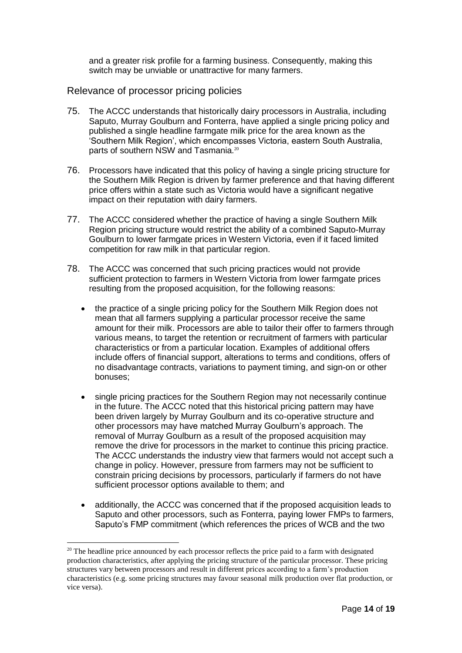and a greater risk profile for a farming business. Consequently, making this switch may be unviable or unattractive for many farmers.

#### Relevance of processor pricing policies

- 75. The ACCC understands that historically dairy processors in Australia, including Saputo, Murray Goulburn and Fonterra, have applied a single pricing policy and published a single headline farmgate milk price for the area known as the 'Southern Milk Region', which encompasses Victoria, eastern South Australia, parts of southern NSW and Tasmania.<sup>20</sup>
- 76. Processors have indicated that this policy of having a single pricing structure for the Southern Milk Region is driven by farmer preference and that having different price offers within a state such as Victoria would have a significant negative impact on their reputation with dairy farmers.
- 77. The ACCC considered whether the practice of having a single Southern Milk Region pricing structure would restrict the ability of a combined Saputo-Murray Goulburn to lower farmgate prices in Western Victoria, even if it faced limited competition for raw milk in that particular region.
- 78. The ACCC was concerned that such pricing practices would not provide sufficient protection to farmers in Western Victoria from lower farmgate prices resulting from the proposed acquisition, for the following reasons:
	- the practice of a single pricing policy for the Southern Milk Region does not mean that all farmers supplying a particular processor receive the same amount for their milk. Processors are able to tailor their offer to farmers through various means, to target the retention or recruitment of farmers with particular characteristics or from a particular location. Examples of additional offers include offers of financial support, alterations to terms and conditions, offers of no disadvantage contracts, variations to payment timing, and sign-on or other bonuses;
	- single pricing practices for the Southern Region may not necessarily continue in the future. The ACCC noted that this historical pricing pattern may have been driven largely by Murray Goulburn and its co-operative structure and other processors may have matched Murray Goulburn's approach. The removal of Murray Goulburn as a result of the proposed acquisition may remove the drive for processors in the market to continue this pricing practice. The ACCC understands the industry view that farmers would not accept such a change in policy. However, pressure from farmers may not be sufficient to constrain pricing decisions by processors, particularly if farmers do not have sufficient processor options available to them; and
	- additionally, the ACCC was concerned that if the proposed acquisition leads to Saputo and other processors, such as Fonterra, paying lower FMPs to farmers, Saputo's FMP commitment (which references the prices of WCB and the two

 $20$  The headline price announced by each processor reflects the price paid to a farm with designated production characteristics, after applying the pricing structure of the particular processor. These pricing structures vary between processors and result in different prices according to a farm's production characteristics (e.g. some pricing structures may favour seasonal milk production over flat production, or vice versa).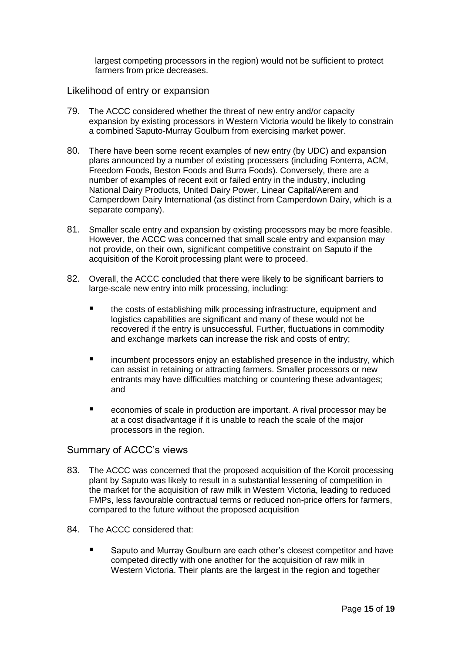largest competing processors in the region) would not be sufficient to protect farmers from price decreases.

#### Likelihood of entry or expansion

- 79. The ACCC considered whether the threat of new entry and/or capacity expansion by existing processors in Western Victoria would be likely to constrain a combined Saputo-Murray Goulburn from exercising market power.
- 80. There have been some recent examples of new entry (by UDC) and expansion plans announced by a number of existing processers (including Fonterra, ACM, Freedom Foods, Beston Foods and Burra Foods). Conversely, there are a number of examples of recent exit or failed entry in the industry, including National Dairy Products, United Dairy Power, Linear Capital/Aerem and Camperdown Dairy International (as distinct from Camperdown Dairy, which is a separate company).
- 81. Smaller scale entry and expansion by existing processors may be more feasible. However, the ACCC was concerned that small scale entry and expansion may not provide, on their own, significant competitive constraint on Saputo if the acquisition of the Koroit processing plant were to proceed.
- 82. Overall, the ACCC concluded that there were likely to be significant barriers to large-scale new entry into milk processing, including:
	- the costs of establishing milk processing infrastructure, equipment and logistics capabilities are significant and many of these would not be recovered if the entry is unsuccessful. Further, fluctuations in commodity and exchange markets can increase the risk and costs of entry;
	- incumbent processors enjoy an established presence in the industry, which can assist in retaining or attracting farmers. Smaller processors or new entrants may have difficulties matching or countering these advantages; and
	- economies of scale in production are important. A rival processor may be at a cost disadvantage if it is unable to reach the scale of the major processors in the region.

#### Summary of ACCC's views

- 83. The ACCC was concerned that the proposed acquisition of the Koroit processing plant by Saputo was likely to result in a substantial lessening of competition in the market for the acquisition of raw milk in Western Victoria, leading to reduced FMPs, less favourable contractual terms or reduced non-price offers for farmers, compared to the future without the proposed acquisition
- 84. The ACCC considered that:
	- Saputo and Murray Goulburn are each other's closest competitor and have competed directly with one another for the acquisition of raw milk in Western Victoria. Their plants are the largest in the region and together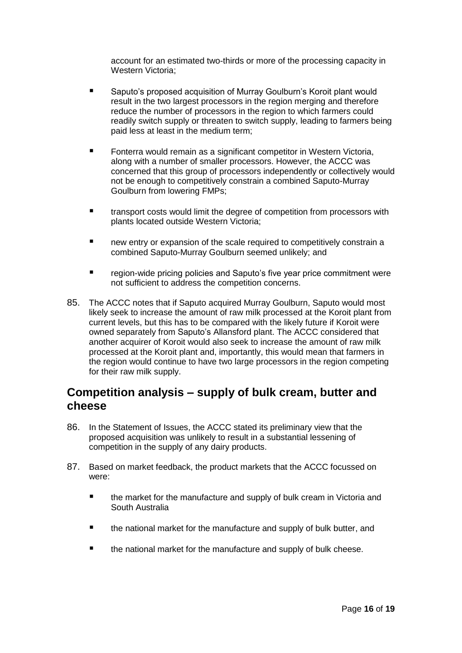account for an estimated two-thirds or more of the processing capacity in Western Victoria;

- Saputo's proposed acquisition of Murray Goulburn's Koroit plant would result in the two largest processors in the region merging and therefore reduce the number of processors in the region to which farmers could readily switch supply or threaten to switch supply, leading to farmers being paid less at least in the medium term;
- Fonterra would remain as a significant competitor in Western Victoria, along with a number of smaller processors. However, the ACCC was concerned that this group of processors independently or collectively would not be enough to competitively constrain a combined Saputo-Murray Goulburn from lowering FMPs;
- **The transport costs would limit the degree of competition from processors with** plants located outside Western Victoria;
- **new entry or expansion of the scale required to competitively constrain a** combined Saputo-Murray Goulburn seemed unlikely; and
- region-wide pricing policies and Saputo's five year price commitment were not sufficient to address the competition concerns.
- 85. The ACCC notes that if Saputo acquired Murray Goulburn, Saputo would most likely seek to increase the amount of raw milk processed at the Koroit plant from current levels, but this has to be compared with the likely future if Koroit were owned separately from Saputo's Allansford plant. The ACCC considered that another acquirer of Koroit would also seek to increase the amount of raw milk processed at the Koroit plant and, importantly, this would mean that farmers in the region would continue to have two large processors in the region competing for their raw milk supply.

### **Competition analysis – supply of bulk cream, butter and cheese**

- 86. In the Statement of Issues, the ACCC stated its preliminary view that the proposed acquisition was unlikely to result in a substantial lessening of competition in the supply of any dairy products.
- 87. Based on market feedback, the product markets that the ACCC focussed on were:
	- the market for the manufacture and supply of bulk cream in Victoria and South Australia
	- **the national market for the manufacture and supply of bulk butter, and**
	- $\blacksquare$  the national market for the manufacture and supply of bulk cheese.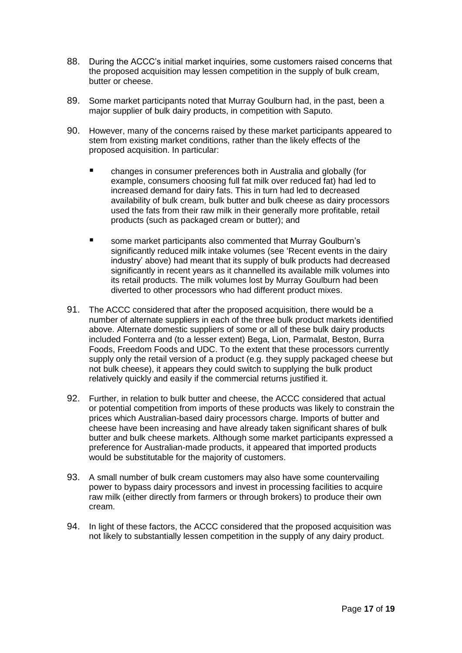- 88. During the ACCC's initial market inquiries, some customers raised concerns that the proposed acquisition may lessen competition in the supply of bulk cream, butter or cheese.
- 89. Some market participants noted that Murray Goulburn had, in the past, been a major supplier of bulk dairy products, in competition with Saputo.
- 90. However, many of the concerns raised by these market participants appeared to stem from existing market conditions, rather than the likely effects of the proposed acquisition. In particular:
	- changes in consumer preferences both in Australia and globally (for example, consumers choosing full fat milk over reduced fat) had led to increased demand for dairy fats. This in turn had led to decreased availability of bulk cream, bulk butter and bulk cheese as dairy processors used the fats from their raw milk in their generally more profitable, retail products (such as packaged cream or butter); and
	- some market participants also commented that Murray Goulburn's significantly reduced milk intake volumes (see 'Recent events in the dairy industry' above) had meant that its supply of bulk products had decreased significantly in recent years as it channelled its available milk volumes into its retail products. The milk volumes lost by Murray Goulburn had been diverted to other processors who had different product mixes.
- 91. The ACCC considered that after the proposed acquisition, there would be a number of alternate suppliers in each of the three bulk product markets identified above. Alternate domestic suppliers of some or all of these bulk dairy products included Fonterra and (to a lesser extent) Bega, Lion, Parmalat, Beston, Burra Foods, Freedom Foods and UDC. To the extent that these processors currently supply only the retail version of a product (e.g. they supply packaged cheese but not bulk cheese), it appears they could switch to supplying the bulk product relatively quickly and easily if the commercial returns justified it.
- 92. Further, in relation to bulk butter and cheese, the ACCC considered that actual or potential competition from imports of these products was likely to constrain the prices which Australian-based dairy processors charge. Imports of butter and cheese have been increasing and have already taken significant shares of bulk butter and bulk cheese markets. Although some market participants expressed a preference for Australian-made products, it appeared that imported products would be substitutable for the majority of customers.
- 93. A small number of bulk cream customers may also have some countervailing power to bypass dairy processors and invest in processing facilities to acquire raw milk (either directly from farmers or through brokers) to produce their own cream.
- 94. In light of these factors, the ACCC considered that the proposed acquisition was not likely to substantially lessen competition in the supply of any dairy product.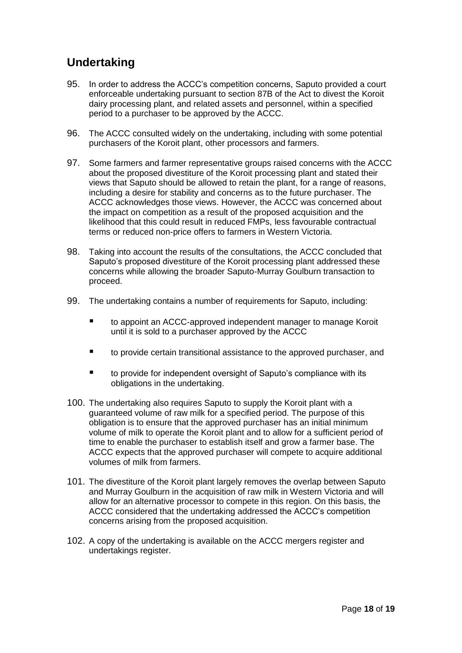# **Undertaking**

- 95. In order to address the ACCC's competition concerns, Saputo provided a court enforceable undertaking pursuant to section 87B of the Act to divest the Koroit dairy processing plant, and related assets and personnel, within a specified period to a purchaser to be approved by the ACCC.
- 96. The ACCC consulted widely on the undertaking, including with some potential purchasers of the Koroit plant, other processors and farmers.
- 97. Some farmers and farmer representative groups raised concerns with the ACCC about the proposed divestiture of the Koroit processing plant and stated their views that Saputo should be allowed to retain the plant, for a range of reasons, including a desire for stability and concerns as to the future purchaser. The ACCC acknowledges those views. However, the ACCC was concerned about the impact on competition as a result of the proposed acquisition and the likelihood that this could result in reduced FMPs, less favourable contractual terms or reduced non-price offers to farmers in Western Victoria.
- 98. Taking into account the results of the consultations, the ACCC concluded that Saputo's proposed divestiture of the Koroit processing plant addressed these concerns while allowing the broader Saputo-Murray Goulburn transaction to proceed.
- 99. The undertaking contains a number of requirements for Saputo, including:
	- to appoint an ACCC-approved independent manager to manage Koroit until it is sold to a purchaser approved by the ACCC
	- to provide certain transitional assistance to the approved purchaser, and
	- to provide for independent oversight of Saputo's compliance with its obligations in the undertaking.
- 100. The undertaking also requires Saputo to supply the Koroit plant with a guaranteed volume of raw milk for a specified period. The purpose of this obligation is to ensure that the approved purchaser has an initial minimum volume of milk to operate the Koroit plant and to allow for a sufficient period of time to enable the purchaser to establish itself and grow a farmer base. The ACCC expects that the approved purchaser will compete to acquire additional volumes of milk from farmers.
- 101. The divestiture of the Koroit plant largely removes the overlap between Saputo and Murray Goulburn in the acquisition of raw milk in Western Victoria and will allow for an alternative processor to compete in this region. On this basis, the ACCC considered that the undertaking addressed the ACCC's competition concerns arising from the proposed acquisition.
- 102. A copy of the undertaking is available on the ACCC mergers register and undertakings register.